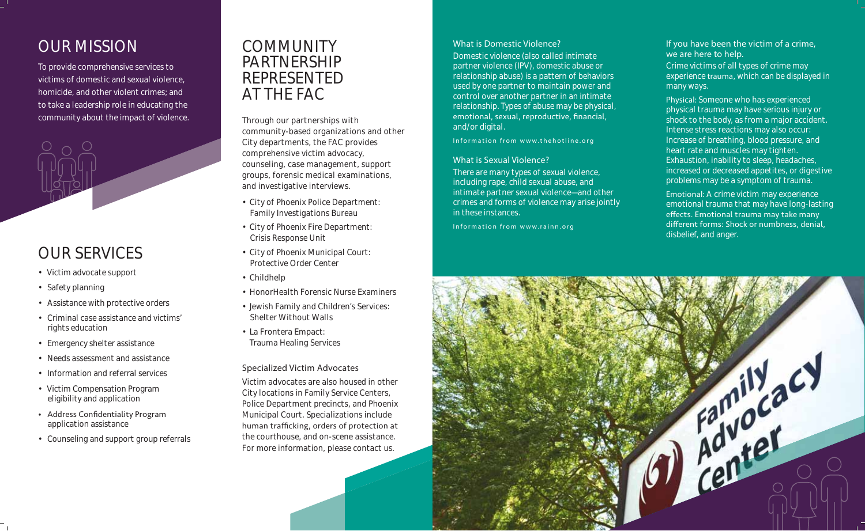## OUR MISSION

To provide comprehensive services to victims of domestic and sexual violence, homicide, and other violent crimes; and to take a leadership role in educating the community about the impact of violence.



## OUR SERVICES

- Victim advocate support
- Safety planning
- Assistance with protective orders
- Criminal case assistance and victims' rights education
- Emergency shelter assistance
- Needs assessment and assistance
- Information and referral services
- Victim Compensation Program eligibility and application
- Address Confidentiality Program application assistance
- Counseling and support group referrals

### COMMUNITY PARTNERSHIP REPRESENTED AT THE FAC

Through our partnerships with community-based organizations and other City departments, the FAC provides comprehensive victim advocacy, counseling, case management, support groups, forensic medical examinations, and investigative interviews.

- City of Phoenix Police Department: Family Investigations Bureau
- City of Phoenix Fire Department: Crisis Response Unit
- City of Phoenix Municipal Court: Protective Order Center
- Childhelp
- HonorHealth Forensic Nurse Examiners
- Jewish Family and Children's Services: Shelter Without Walls
- La Frontera Empact: Trauma Healing Services

#### **Specialized Victim Advocates**

Victim advocates are also housed in other City locations in Family Service Centers, Police Department precincts, and Phoenix Municipal Court. Specializations include human trafficking, orders of protection at the courthouse, and on-scene assistance. For more information, please contact us.

#### **What is Domestic Violence?**

Domestic violence (also called intimate partner violence (IPV), domestic abuse or relationship abuse) is a pattern of behaviors used by one partner to maintain power and control over another partner in an intimate relationship. Types of abuse may be physical, emotional, sexual, reproductive, financial, and/or digital.

*Information from www.thehotline.org*

#### **What is Sexual Violence?**

There are many types of sexual violence, including rape, child sexual abuse, and intimate partner sexual violence—and other crimes and forms of violence may arise jointly in these instances.

*Information from www.rainn.org*

#### **If you have been the victim of a crime, we are here to help.**

Crime victims of all types of crime may experience **trauma**, which can be displayed in many ways.

**Physical:** Someone who has experienced physical trauma may have serious injury or shock to the body, as from a major accident. Intense stress reactions may also occur: Increase of breathing, blood pressure, and heart rate and muscles may tighten. Exhaustion, inability to sleep, headaches, increased or decreased appetites, or digestive problems may be a symptom of trauma.

**Emotional:** A crime victim may experience emotional trauma that may have long-lasting effects. Emotional trauma may take many different forms: Shock or numbness, denial, disbelief, and anger.